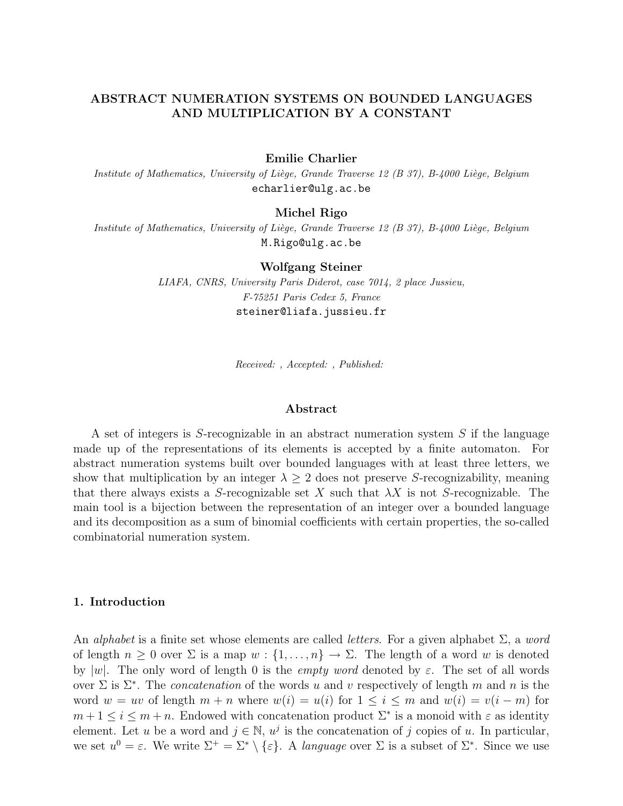# ABSTRACT NUMERATION SYSTEMS ON BOUNDED LANGUAGES AND MULTIPLICATION BY A CONSTANT

## Emilie Charlier

Institute of Mathematics, University of Liège, Grande Traverse 12 (B 37), B-4000 Liège, Belgium echarlier@ulg.ac.be

## Michel Rigo

Institute of Mathematics, University of Liège, Grande Traverse 12 (B 37), B-4000 Liège, Belgium M.Rigo@ulg.ac.be

### Wolfgang Steiner

LIAFA, CNRS, University Paris Diderot, case 7014, 2 place Jussieu, F-75251 Paris Cedex 5, France steiner@liafa.jussieu.fr

Received: , Accepted: , Published:

#### Abstract

A set of integers is S-recognizable in an abstract numeration system S if the language made up of the representations of its elements is accepted by a finite automaton. For abstract numeration systems built over bounded languages with at least three letters, we show that multiplication by an integer  $\lambda \geq 2$  does not preserve S-recognizability, meaning that there always exists a S-recognizable set X such that  $\lambda X$  is not S-recognizable. The main tool is a bijection between the representation of an integer over a bounded language and its decomposition as a sum of binomial coefficients with certain properties, the so-called combinatorial numeration system.

## 1. Introduction

An *alphabet* is a finite set whose elements are called *letters*. For a given alphabet  $\Sigma$ , a word of length  $n \geq 0$  over  $\Sigma$  is a map  $w: \{1, \ldots, n\} \to \Sigma$ . The length of a word w is denoted by |w|. The only word of length 0 is the *empty word* denoted by  $\varepsilon$ . The set of all words over  $\Sigma$  is  $\Sigma^*$ . The *concatenation* of the words u and v respectively of length m and n is the word  $w = uv$  of length  $m + n$  where  $w(i) = u(i)$  for  $1 \leq i \leq m$  and  $w(i) = v(i - m)$  for  $m + 1 \leq i \leq m + n$ . Endowed with concatenation product  $\Sigma^*$  is a monoid with  $\varepsilon$  as identity element. Let u be a word and  $j \in \mathbb{N}$ ,  $u^j$  is the concatenation of j copies of u. In particular, we set  $u^0 = \varepsilon$ . We write  $\Sigma^+ = \Sigma^* \setminus {\varepsilon}$ . A language over  $\Sigma$  is a subset of  $\Sigma^*$ . Since we use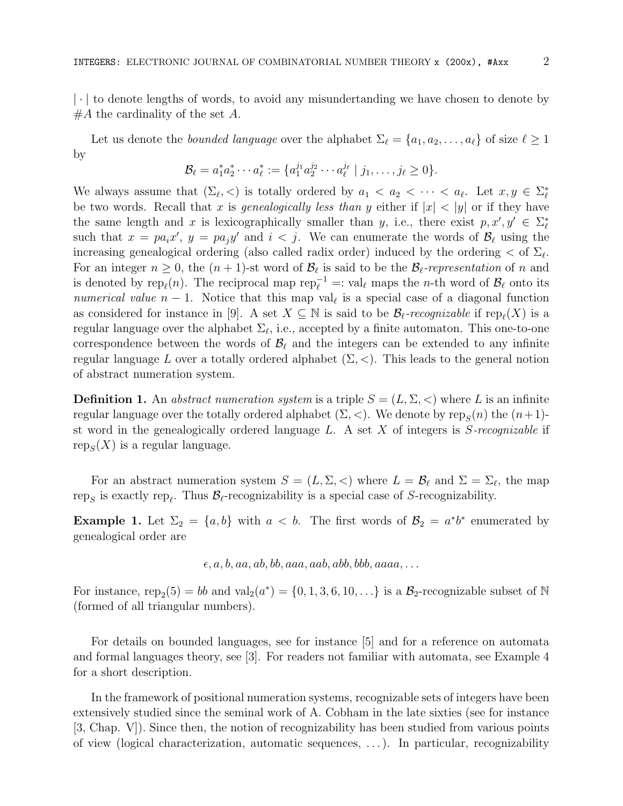| · | to denote lengths of words, to avoid any misundertanding we have chosen to denote by  $#A$  the cardinality of the set A.

Let us denote the *bounded language* over the alphabet  $\Sigma_{\ell} = \{a_1, a_2, \ldots, a_{\ell}\}\$  of size  $\ell \geq 1$ by

$$
\mathcal{B}_{\ell} = a_1^* a_2^* \cdots a_{\ell}^* := \{ a_1^{j_1} a_2^{j_2} \cdots a_{\ell}^{j_{\ell}} \mid j_1, \ldots, j_{\ell} \geq 0 \}.
$$

We always assume that  $(\Sigma_{\ell}, <)$  is totally ordered by  $a_1 < a_2 < \cdots < a_{\ell}$ . Let  $x, y \in \Sigma_{\ell}^*$ be two words. Recall that x is genealogically less than y either if  $|x| < |y|$  or if they have the same length and x is lexicographically smaller than y, i.e., there exist  $p, x', y' \in \Sigma_{\ell}^*$ such that  $x = pa_i x'$ ,  $y = pa_j y'$  and  $i < j$ . We can enumerate the words of  $\mathcal{B}_{\ell}$  using the increasing genealogical ordering (also called radix order) induced by the ordering  $<$  of  $\Sigma_{\ell}$ . For an integer  $n \geq 0$ , the  $(n + 1)$ -st word of  $\mathcal{B}_{\ell}$  is said to be the  $\mathcal{B}_{\ell}$ -representation of n and is denoted by  $\text{rep}_{\ell}(n)$ . The reciprocal map  $\text{rep}_{\ell}^{-1} =: \text{val}_{\ell}$  maps the *n*-th word of  $\mathcal{B}_{\ell}$  onto its numerical value  $n-1$ . Notice that this map val<sub> $\ell$ </sub> is a special case of a diagonal function as considered for instance in [9]. A set  $X \subseteq \mathbb{N}$  is said to be  $\mathcal{B}_{\ell}$ -recognizable if rep $_{\ell}(X)$  is a regular language over the alphabet  $\Sigma_{\ell}$ , i.e., accepted by a finite automaton. This one-to-one correspondence between the words of  $\mathcal{B}_\ell$  and the integers can be extended to any infinite regular language L over a totally ordered alphabet  $(\Sigma, <)$ . This leads to the general notion of abstract numeration system.

**Definition 1.** An abstract numeration system is a triple  $S = (L, \Sigma, <)$  where L is an infinite regular language over the totally ordered alphabet  $(\Sigma, <)$ . We denote by  $\text{rep}_S(n)$  the  $(n+1)$ st word in the genealogically ordered language  $L$ . A set  $X$  of integers is  $S$ -recognizable if  $\text{rep}_S(X)$  is a regular language.

For an abstract numeration system  $S = (L, \Sigma, <)$  where  $L = \mathcal{B}_{\ell}$  and  $\Sigma = \Sigma_{\ell}$ , the map rep<sub>S</sub> is exactly rep<sub>l</sub>. Thus  $\mathcal{B}_{\ell}$ -recognizability is a special case of S-recognizability.

**Example 1.** Let  $\Sigma_2 = \{a, b\}$  with  $a < b$ . The first words of  $\mathcal{B}_2 = a^*b^*$  enumerated by genealogical order are

 $\epsilon, a, b, aa, ab, bb, aaa, aab, abb, bbb, aaaa, \ldots$ 

For instance, rep<sub>2</sub>(5) = bb and val<sub>2</sub>( $a^*$ ) = {0, 1, 3, 6, 10, ...} is a  $B_2$ -recognizable subset of N (formed of all triangular numbers).

For details on bounded languages, see for instance [5] and for a reference on automata and formal languages theory, see [3]. For readers not familiar with automata, see Example 4 for a short description.

In the framework of positional numeration systems, recognizable sets of integers have been extensively studied since the seminal work of A. Cobham in the late sixties (see for instance [3, Chap. V]). Since then, the notion of recognizability has been studied from various points of view (logical characterization, automatic sequences, . . . ). In particular, recognizability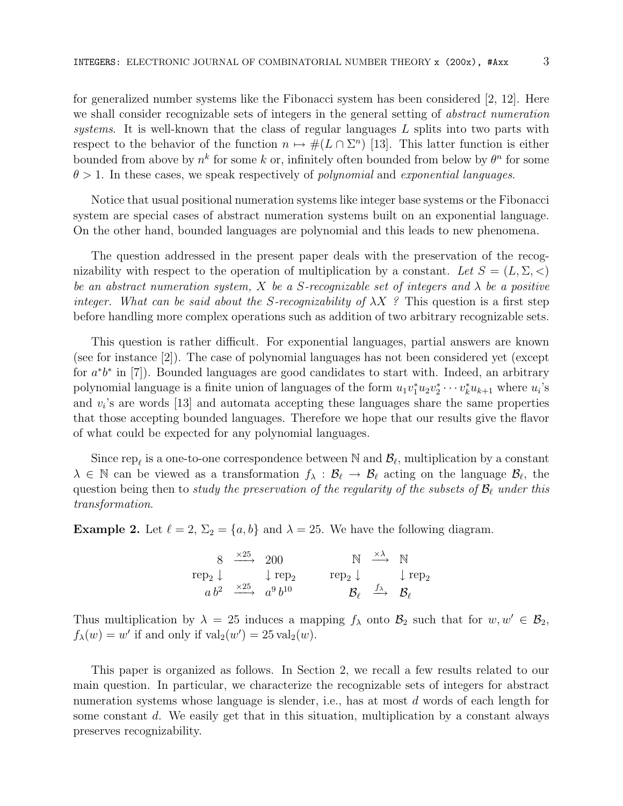for generalized number systems like the Fibonacci system has been considered [2, 12]. Here we shall consider recognizable sets of integers in the general setting of abstract numeration systems. It is well-known that the class of regular languages  $L$  splits into two parts with respect to the behavior of the function  $n \mapsto \#(L \cap \Sigma^n)$  [13]. This latter function is either bounded from above by  $n^k$  for some k or, infinitely often bounded from below by  $\theta^n$  for some  $\theta > 1$ . In these cases, we speak respectively of *polynomial* and *exponential languages*.

Notice that usual positional numeration systems like integer base systems or the Fibonacci system are special cases of abstract numeration systems built on an exponential language. On the other hand, bounded languages are polynomial and this leads to new phenomena.

The question addressed in the present paper deals with the preservation of the recognizability with respect to the operation of multiplication by a constant. Let  $S = (L, \Sigma, <)$ be an abstract numeration system, X be a S-recognizable set of integers and  $\lambda$  be a positive integer. What can be said about the S-recognizability of  $\lambda X$ ? This question is a first step before handling more complex operations such as addition of two arbitrary recognizable sets.

This question is rather difficult. For exponential languages, partial answers are known (see for instance [2]). The case of polynomial languages has not been considered yet (except for  $a^*b^*$  in [7]). Bounded languages are good candidates to start with. Indeed, an arbitrary polynomial language is a finite union of languages of the form  $u_1v_1^*u_2v_2^*\cdots v_k^*u_{k+1}$  where  $u_i$ 's and  $v_i$ 's are words [13] and automata accepting these languages share the same properties that those accepting bounded languages. Therefore we hope that our results give the flavor of what could be expected for any polynomial languages.

Since rep<sub> $\ell$ </sub> is a one-to-one correspondence between N and  $\mathcal{B}_{\ell}$ , multiplication by a constant  $\lambda \in \mathbb{N}$  can be viewed as a transformation  $f_{\lambda} : \mathcal{B}_{\ell} \to \mathcal{B}_{\ell}$  acting on the language  $\mathcal{B}_{\ell}$ , the question being then to study the preservation of the regularity of the subsets of  $\mathcal{B}_\ell$  under this transformation.

**Example 2.** Let  $\ell = 2$ ,  $\Sigma_2 = \{a, b\}$  and  $\lambda = 25$ . We have the following diagram.

|                                                          | $8 \xrightarrow{\times 25} 200$ |                                            |                                                          | $N \stackrel{\times \lambda}{\longrightarrow} N$                                 |  |
|----------------------------------------------------------|---------------------------------|--------------------------------------------|----------------------------------------------------------|----------------------------------------------------------------------------------|--|
| $\text{rep}_2 \downarrow \qquad \downarrow \text{rep}_2$ |                                 |                                            | $\text{rep}_2 \downarrow \qquad \downarrow \text{rep}_2$ |                                                                                  |  |
|                                                          |                                 | $a b^2 \xrightarrow{\times 25} a^9 b^{10}$ |                                                          | $\mathcal{B}_{\ell} \ \stackrel{J\lambda}{\longrightarrow} \ \mathcal{B}_{\ell}$ |  |

Thus multiplication by  $\lambda = 25$  induces a mapping  $f_{\lambda}$  onto  $\mathcal{B}_2$  such that for  $w, w' \in \mathcal{B}_2$ ,  $f_{\lambda}(w) = w'$  if and only if  $\text{val}_{2}(w') = 25 \text{ val}_{2}(w)$ .

This paper is organized as follows. In Section 2, we recall a few results related to our main question. In particular, we characterize the recognizable sets of integers for abstract numeration systems whose language is slender, i.e., has at most d words of each length for some constant  $d$ . We easily get that in this situation, multiplication by a constant always preserves recognizability.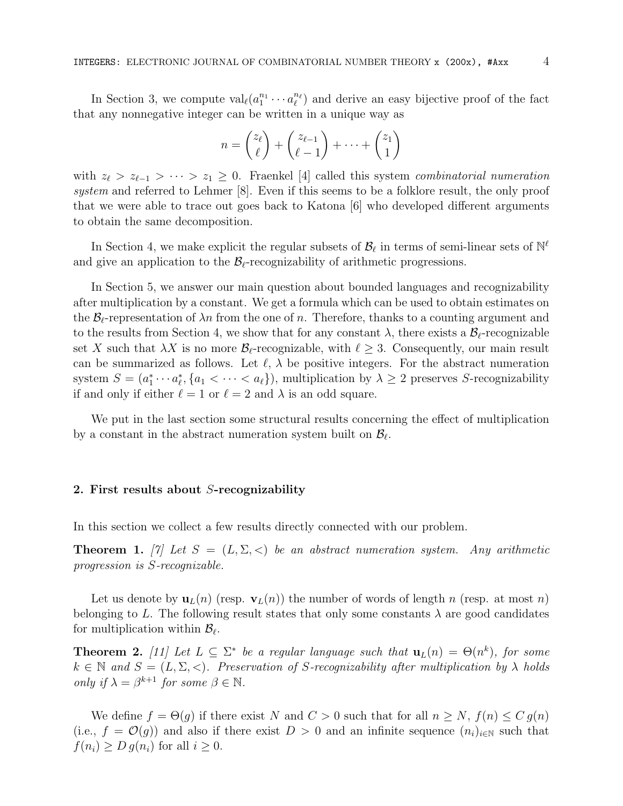In Section 3, we compute  $\text{val}_{\ell}(a_1^{n_1} \cdots a_{\ell}^{n_{\ell}})$  and derive an easy bijective proof of the fact that any nonnegative integer can be written in a unique way as

$$
n = \binom{z_{\ell}}{\ell} + \binom{z_{\ell-1}}{\ell-1} + \dots + \binom{z_1}{1}
$$

with  $z_{\ell} > z_{\ell-1} > \cdots > z_1 \geq 0$ . Fraenkel [4] called this system combinatorial numeration system and referred to Lehmer [8]. Even if this seems to be a folklore result, the only proof that we were able to trace out goes back to Katona [6] who developed different arguments to obtain the same decomposition.

In Section 4, we make explicit the regular subsets of  $\mathcal{B}_{\ell}$  in terms of semi-linear sets of  $\mathbb{N}^{\ell}$ and give an application to the  $\mathcal{B}_{\ell}$ -recognizability of arithmetic progressions.

In Section 5, we answer our main question about bounded languages and recognizability after multiplication by a constant. We get a formula which can be used to obtain estimates on the  $\mathcal{B}_{\ell}$ -representation of  $\lambda n$  from the one of n. Therefore, thanks to a counting argument and to the results from Section 4, we show that for any constant  $\lambda$ , there exists a  $\mathcal{B}_{\ell}$ -recognizable set X such that  $\lambda X$  is no more  $\mathcal{B}_{\ell}$ -recognizable, with  $\ell \geq 3$ . Consequently, our main result can be summarized as follows. Let  $\ell$ ,  $\lambda$  be positive integers. For the abstract numeration system  $S = (a_1^* \cdots a_\ell^*, \{a_1 < \cdots < a_\ell\})$ , multiplication by  $\lambda \geq 2$  preserves S-recognizability if and only if either  $\ell = 1$  or  $\ell = 2$  and  $\lambda$  is an odd square.

We put in the last section some structural results concerning the effect of multiplication by a constant in the abstract numeration system built on  $\mathcal{B}_{\ell}$ .

## 2. First results about S-recognizability

In this section we collect a few results directly connected with our problem.

**Theorem 1.** [7] Let  $S = (L, \Sigma, <)$  be an abstract numeration system. Any arithmetic progression is S-recognizable.

Let us denote by  $\mathbf{u}_L(n)$  (resp.  $\mathbf{v}_L(n)$ ) the number of words of length n (resp. at most n) belonging to L. The following result states that only some constants  $\lambda$  are good candidates for multiplication within  $\mathcal{B}_{\ell}$ .

**Theorem 2.** [11] Let  $L \subseteq \Sigma^*$  be a regular language such that  $\mathbf{u}_L(n) = \Theta(n^k)$ , for some  $k \in \mathbb{N}$  and  $S = (L, \Sigma, <)$ . Preservation of S-recognizability after multiplication by  $\lambda$  holds only if  $\lambda = \beta^{k+1}$  for some  $\beta \in \mathbb{N}$ .

We define  $f = \Theta(g)$  if there exist N and  $C > 0$  such that for all  $n \geq N$ ,  $f(n) \leq C g(n)$ (i.e.,  $f = \mathcal{O}(g)$ ) and also if there exist  $D > 0$  and an infinite sequence  $(n_i)_{i \in \mathbb{N}}$  such that  $f(n_i) \geq D g(n_i)$  for all  $i \geq 0$ .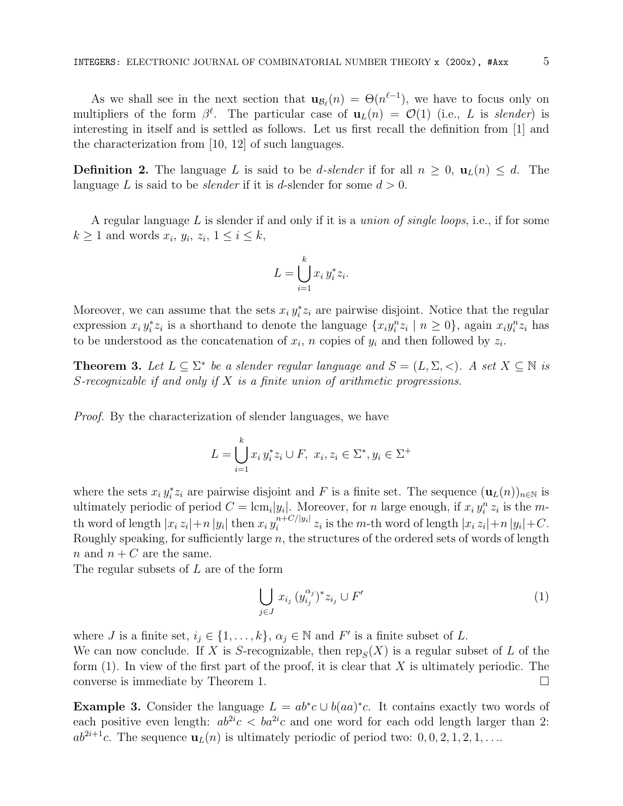As we shall see in the next section that  $\mathbf{u}_{\mathcal{B}_{\ell}}(n) = \Theta(n^{\ell-1}),$  we have to focus only on multipliers of the form  $\beta^{\ell}$ . The particular case of  $\mathbf{u}_L(n) = \mathcal{O}(1)$  (i.e., L is slender) is interesting in itself and is settled as follows. Let us first recall the definition from [1] and the characterization from [10, 12] of such languages.

**Definition 2.** The language L is said to be d-slender if for all  $n \geq 0$ ,  $\mathbf{u}_L(n) \leq d$ . The language L is said to be *slender* if it is d-slender for some  $d > 0$ .

A regular language  $L$  is slender if and only if it is a *union of single loops*, i.e., if for some  $k \geq 1$  and words  $x_i, y_i, z_i, 1 \leq i \leq k$ ,

$$
L = \bigcup_{i=1}^{k} x_i y_i^* z_i.
$$

Moreover, we can assume that the sets  $x_i y_i^* z_i$  are pairwise disjoint. Notice that the regular expression  $x_i y_i^* z_i$  is a shorthand to denote the language  $\{x_i y_i^n z_i \mid n \geq 0\}$ , again  $x_i y_i^n z_i$  has to be understood as the concatenation of  $x_i$ , n copies of  $y_i$  and then followed by  $z_i$ .

**Theorem 3.** Let  $L \subseteq \Sigma^*$  be a slender regular language and  $S = (L, \Sigma, <)$ . A set  $X \subseteq \mathbb{N}$  is S-recognizable if and only if  $X$  is a finite union of arithmetic progressions.

Proof. By the characterization of slender languages, we have

$$
L = \bigcup_{i=1}^{k} x_i y_i^* z_i \cup F, \ x_i, z_i \in \Sigma^*, y_i \in \Sigma^+
$$

where the sets  $x_i y_i^* z_i$  are pairwise disjoint and F is a finite set. The sequence  $(\mathbf{u}_L(n))_{n\in\mathbb{N}}$  is ultimately periodic of period  $C = \text{lcm}_i|y_i|$ . Moreover, for n large enough, if  $x_i y_i^n z_i$  is the mth word of length  $|x_i z_i| + n |y_i|$  then  $x_i y_i^{n+C/|y_i|}$  $\sum_{i=1}^{n+1} z_i$  is the m-th word of length  $|x_i z_i| + n |y_i| + C$ . Roughly speaking, for sufficiently large  $n$ , the structures of the ordered sets of words of length n and  $n + C$  are the same.

The regular subsets of L are of the form

$$
\bigcup_{j\in J} x_{i_j} \, (y_{i_j}^{\alpha_j})^* z_{i_j} \cup F'
$$
\n<sup>(1)</sup>

where *J* is a finite set,  $i_j \in \{1, ..., k\}$ ,  $\alpha_j \in \mathbb{N}$  and  $F'$  is a finite subset of *L*.

We can now conclude. If X is S-recognizable, then  $\text{rep}_S(X)$  is a regular subset of L of the form  $(1)$ . In view of the first part of the proof, it is clear that X is ultimately periodic. The converse is immediate by Theorem 1.

**Example 3.** Consider the language  $L = ab^*c \cup b(aa)^*c$ . It contains exactly two words of each positive even length:  $ab^{2i}c < ba^{2i}c$  and one word for each odd length larger than 2:  $ab^{2i+1}c$ . The sequence  $\mathbf{u}_L(n)$  is ultimately periodic of period two:  $0, 0, 2, 1, 2, 1, \ldots$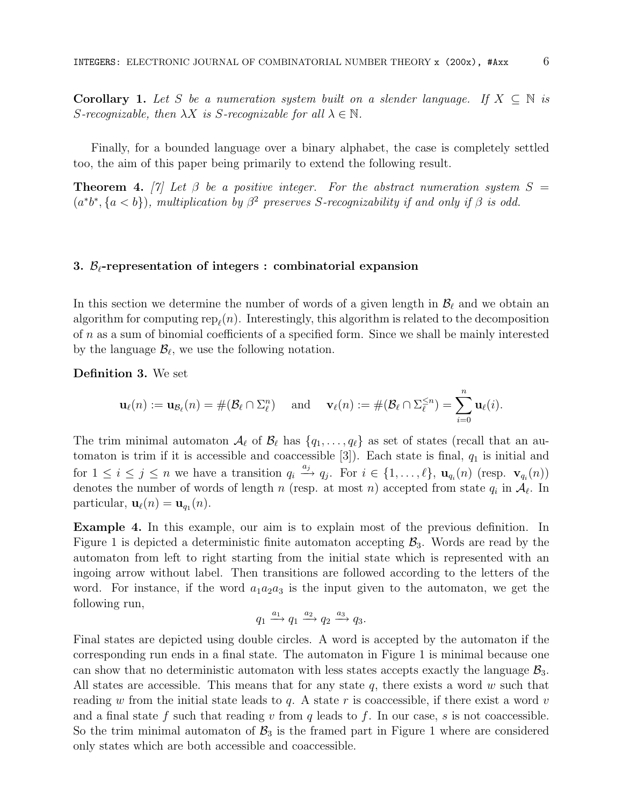Corollary 1. Let S be a numeration system built on a slender language. If  $X \subseteq \mathbb{N}$  is S-recognizable, then  $\lambda X$  is S-recognizable for all  $\lambda \in \mathbb{N}$ .

Finally, for a bounded language over a binary alphabet, the case is completely settled too, the aim of this paper being primarily to extend the following result.

**Theorem 4.** [7] Let  $\beta$  be a positive integer. For the abstract numeration system  $S =$  $(a^*b^*, \{a < b\})$ , multiplication by  $\beta^2$  preserves S-recognizability if and only if  $\beta$  is odd.

#### 3.  $\mathcal{B}_{\ell}$ -representation of integers : combinatorial expansion

In this section we determine the number of words of a given length in  $\mathcal{B}_{\ell}$  and we obtain an algorithm for computing  $\text{rep}_{\ell}(n)$ . Interestingly, this algorithm is related to the decomposition of n as a sum of binomial coefficients of a specified form. Since we shall be mainly interested by the language  $\mathcal{B}_{\ell}$ , we use the following notation.

Definition 3. We set

$$
\mathbf{u}_{\ell}(n) := \mathbf{u}_{\mathcal{B}_{\ell}}(n) = \#(\mathcal{B}_{\ell} \cap \Sigma_{\ell}^{n}) \quad \text{ and } \quad \mathbf{v}_{\ell}(n) := \#(\mathcal{B}_{\ell} \cap \Sigma_{\ell}^{\leq n}) = \sum_{i=0}^{n} \mathbf{u}_{\ell}(i).
$$

The trim minimal automaton  $\mathcal{A}_{\ell}$  of  $\mathcal{B}_{\ell}$  has  $\{q_1, \ldots, q_{\ell}\}\$  as set of states (recall that an automaton is trim if it is accessible and coaccessible  $[3]$ ). Each state is final,  $q_1$  is initial and for  $1 \leq i \leq j \leq n$  we have a transition  $q_i \stackrel{a_j}{\longrightarrow} q_j$ . For  $i \in \{1, \ldots, \ell\}$ ,  $\mathbf{u}_{q_i}(n)$  (resp.  $\mathbf{v}_{q_i}(n)$ ) denotes the number of words of length n (resp. at most n) accepted from state  $q_i$  in  $\mathcal{A}_{\ell}$ . In particular,  $\mathbf{u}_{\ell}(n) = \mathbf{u}_{q_1}(n)$ .

Example 4. In this example, our aim is to explain most of the previous definition. In Figure 1 is depicted a deterministic finite automaton accepting  $\mathcal{B}_3$ . Words are read by the automaton from left to right starting from the initial state which is represented with an ingoing arrow without label. Then transitions are followed according to the letters of the word. For instance, if the word  $a_1a_2a_3$  is the input given to the automaton, we get the following run,

$$
q_1 \xrightarrow{a_1} q_1 \xrightarrow{a_2} q_2 \xrightarrow{a_3} q_3.
$$

Final states are depicted using double circles. A word is accepted by the automaton if the corresponding run ends in a final state. The automaton in Figure 1 is minimal because one can show that no deterministic automaton with less states accepts exactly the language  $\mathcal{B}_3$ . All states are accessible. This means that for any state  $q$ , there exists a word w such that reading w from the initial state leads to q. A state r is coaccessible, if there exist a word v and a final state f such that reading  $v$  from  $q$  leads to f. In our case,  $s$  is not coaccessible. So the trim minimal automaton of  $\mathcal{B}_3$  is the framed part in Figure 1 where are considered only states which are both accessible and coaccessible.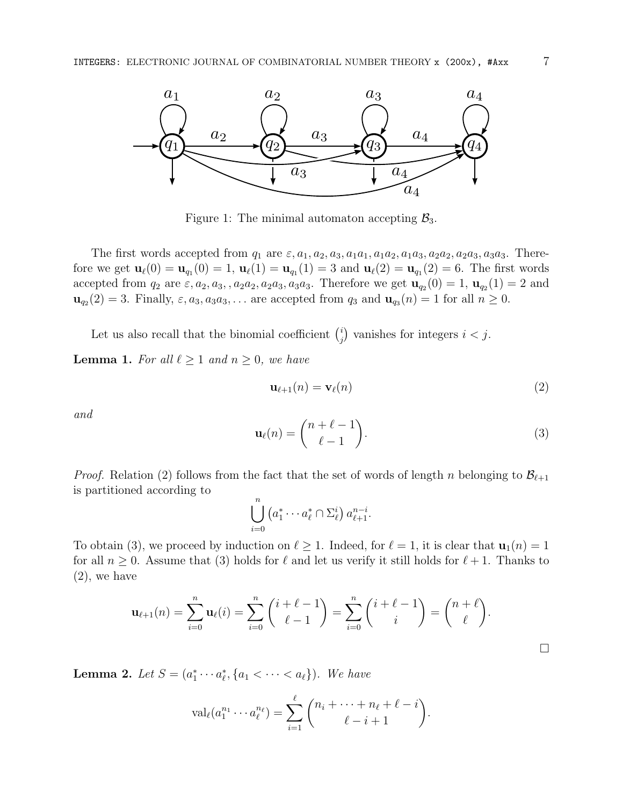

Figure 1: The minimal automaton accepting  $\mathcal{B}_3$ .

The first words accepted from  $q_1$  are  $\varepsilon, a_1, a_2, a_3, a_1a_1, a_1a_2, a_1a_3, a_2a_2, a_2a_3, a_3a_3$ . Therefore we get  $\mathbf{u}_{\ell}(0) = \mathbf{u}_{q_1}(0) = 1$ ,  $\mathbf{u}_{\ell}(1) = \mathbf{u}_{q_1}(1) = 3$  and  $\mathbf{u}_{\ell}(2) = \mathbf{u}_{q_1}(2) = 6$ . The first words accepted from  $q_2$  are  $\varepsilon, a_2, a_3, a_2a_2, a_2a_3, a_3a_3$ . Therefore we get  $\mathbf{u}_{q_2}(0) = 1$ ,  $\mathbf{u}_{q_2}(1) = 2$  and  $\mathbf{u}_{q_2}(2) = 3$ . Finally,  $\varepsilon, a_3, a_3, a_3, \ldots$  are accepted from  $q_3$  and  $\mathbf{u}_{q_3}(n) = 1$  for all  $n \geq 0$ .

Let us also recall that the binomial coefficient  $\binom{i}{i}$  $j$ ) vanishes for integers  $i < j$ .

**Lemma 1.** For all  $\ell \geq 1$  and  $n \geq 0$ , we have

$$
\mathbf{u}_{\ell+1}(n) = \mathbf{v}_{\ell}(n) \tag{2}
$$

and

$$
\mathbf{u}_{\ell}(n) = \binom{n+\ell-1}{\ell-1}.\tag{3}
$$

*Proof.* Relation (2) follows from the fact that the set of words of length n belonging to  $\mathcal{B}_{\ell+1}$ is partitioned according to

$$
\bigcup_{i=0}^n \left( a_1^* \cdots a_\ell^* \cap \Sigma_{\ell}^i \right) a_{\ell+1}^{n-i}.
$$

To obtain (3), we proceed by induction on  $\ell \geq 1$ . Indeed, for  $\ell = 1$ , it is clear that  $\mathbf{u}_1(n) = 1$ for all  $n \geq 0$ . Assume that (3) holds for  $\ell$  and let us verify it still holds for  $\ell + 1$ . Thanks to (2), we have

$$
\mathbf{u}_{\ell+1}(n) = \sum_{i=0}^{n} \mathbf{u}_{\ell}(i) = \sum_{i=0}^{n} {i+\ell-1 \choose \ell-1} = \sum_{i=0}^{n} {i+\ell-1 \choose i} = {n+\ell \choose \ell}.
$$

**Lemma 2.** Let  $S = (a_1^* \cdots a_\ell^*, \{a_1 < \cdots < a_\ell\})$ . We have

$$
\operatorname{val}_{\ell}(a_1^{n_1}\cdots a_{\ell}^{n_{\ell}})=\sum_{i=1}^{\ell} \binom{n_i+\cdots+n_{\ell}+\ell-i}{\ell-i+1}.
$$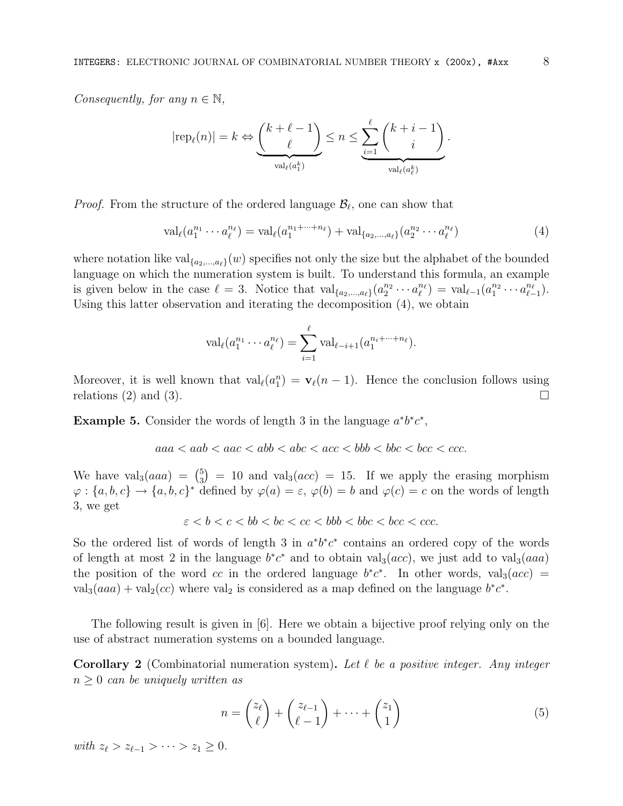Consequently, for any  $n \in \mathbb{N}$ ,

$$
|\text{rep}_{\ell}(n)| = k \Leftrightarrow \underbrace{\binom{k+\ell-1}{\ell}}_{\text{val}_{\ell}(a_1^k)} \le n \le \underbrace{\sum_{i=1}^{\ell} \binom{k+i-1}{i}}_{\text{val}_{\ell}(a_{\ell}^k)}.
$$

*Proof.* From the structure of the ordered language  $\mathcal{B}_{\ell}$ , one can show that

$$
\text{val}_{\ell}(a_1^{n_1} \cdots a_{\ell}^{n_{\ell}}) = \text{val}_{\ell}(a_1^{n_1 + \cdots + n_{\ell}}) + \text{val}_{\{a_2, \ldots, a_{\ell}\}}(a_2^{n_2} \cdots a_{\ell}^{n_{\ell}})
$$
(4)

where notation like  $val_{\{a_2,\ldots,a_\ell\}}(w)$  specifies not only the size but the alphabet of the bounded language on which the numeration system is built. To understand this formula, an example is given below in the case  $\ell = 3$ . Notice that  $\text{val}_{\{a_2,\ldots,a_\ell\}}(a_2^{n_2}\cdots a_\ell^{n_\ell}) = \text{val}_{\ell-1}(a_1^{n_2}\cdots a_{\ell-1}^{n_\ell}).$ Using this latter observation and iterating the decomposition (4), we obtain

$$
\mathrm{val}_{\ell}(a_1^{n_1}\cdots a_{\ell}^{n_{\ell}})=\sum_{i=1}^{\ell} \mathrm{val}_{\ell-i+1}(a_1^{n_i+\cdots+n_{\ell}}).
$$

Moreover, it is well known that  $val_\ell(a_1^n) = \mathbf{v}_\ell(n-1)$ . Hence the conclusion follows using relations (2) and (3).  $\Box$ 

Example 5. Consider the words of length 3 in the language  $a^*b^*c^*$ ,

$$
aaa < aab < aac < abb < abc < acc < bbb < bbc < bcc < ccc.
$$

We have  $\text{val}_3(aaa) = \binom{5}{3}$  $_3^5$  = 10 and val<sub>3</sub>(*acc*) = 15. If we apply the erasing morphism  $\varphi: \{a, b, c\} \to \{a, b, c\}^*$  defined by  $\varphi(a) = \varepsilon$ ,  $\varphi(b) = b$  and  $\varphi(c) = c$  on the words of length 3, we get

$$
\varepsilon < b < c < bb < bc < ccc < bbb < bbc < bcc < ccc.
$$

So the ordered list of words of length 3 in  $a^*b^*c^*$  contains an ordered copy of the words of length at most 2 in the language  $b^*c^*$  and to obtain val<sub>3</sub>(acc), we just add to val<sub>3</sub>(aaa) the position of the word cc in the ordered language  $b^*c^*$ . In other words, valg $(ac)$  = val<sub>3</sub>(aaa) + val<sub>2</sub>(cc) where val<sub>2</sub> is considered as a map defined on the language  $b^*c^*$ .

The following result is given in [6]. Here we obtain a bijective proof relying only on the use of abstract numeration systems on a bounded language.

**Corollary 2** (Combinatorial numeration system). Let  $\ell$  be a positive integer. Any integer  $n \geq 0$  can be uniquely written as

$$
n = \binom{z_{\ell}}{\ell} + \binom{z_{\ell-1}}{\ell-1} + \dots + \binom{z_1}{1} \tag{5}
$$

with  $z_{\ell} > z_{\ell-1} > \cdots > z_1 \geq 0$ .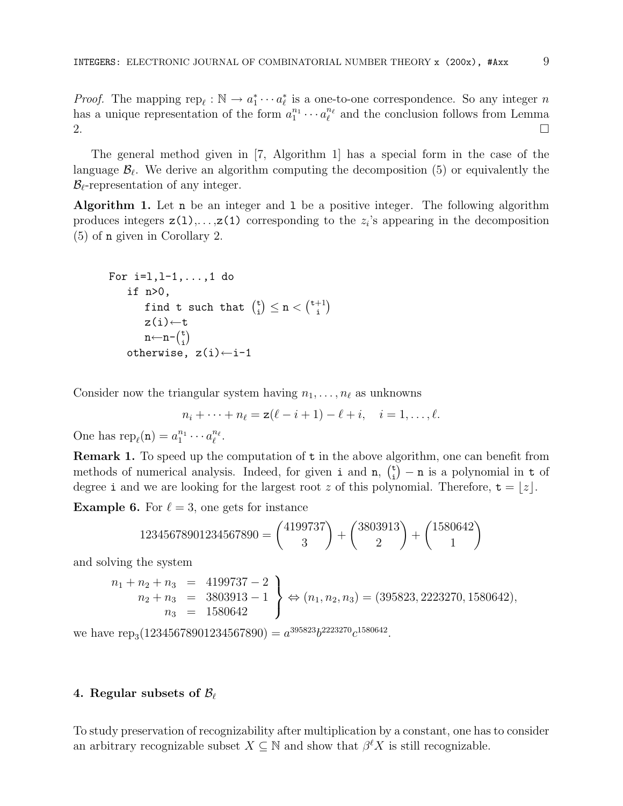*Proof.* The mapping  $\text{rep}_{\ell}: \mathbb{N} \to a_1^* \cdots a_{\ell}^*$  is a one-to-one correspondence. So any integer n has a unique representation of the form  $a_1^{n_1} \cdots a_\ell^{n_\ell}$  and the conclusion follows from Lemma 2.

The general method given in [7, Algorithm 1] has a special form in the case of the language  $\mathcal{B}_{\ell}$ . We derive an algorithm computing the decomposition (5) or equivalently the  $\mathcal{B}_{\ell}$ -representation of any integer.

Algorithm 1. Let n be an integer and 1 be a positive integer. The following algorithm produces integers  $z(1),...,z(1)$  corresponding to the  $z_i$ 's appearing in the decomposition (5) of n given in Corollary 2.

```
For i=1, 1-1, \ldots, 1 do
      if n>0,
            find t such that \binom{t}{i}\binom{t}{i} \leq n < \binom{t+1}{i}\binom{+1}{\mathbf{i}}z(i) \leftarrow tn \leftarrow n - \binom{t}{i}\binom{t}{i}otherwise, z(i)←i-1
```
Consider now the triangular system having  $n_1, \ldots, n_\ell$  as unknowns

$$
n_i + \cdots + n_\ell = \mathbf{z}(\ell - i + 1) - \ell + i, \quad i = 1, \ldots, \ell.
$$

One has  $\operatorname{rep}_{\ell}(n) = a_1^{n_1} \cdots a_{\ell}^{n_{\ell}}.$ 

**Remark 1.** To speed up the computation of **t** in the above algorithm, one can benefit from methods of numerical analysis. Indeed, for given i and  $n_i$ ,  $\binom{t}{i}$  $\mathbf{t}_{i}^{\mathsf{t}}$  – **n** is a polynomial in **t** of degree i and we are looking for the largest root z of this polynomial. Therefore,  $t = |z|$ .

**Example 6.** For  $\ell = 3$ , one gets for instance

$$
12345678901234567890 = \binom{4199737}{3} + \binom{3803913}{2} + \binom{1580642}{1}
$$

and solving the system

$$
\begin{aligned}\nn_1 + n_2 + n_3 &= 4199737 - 2 \\
n_2 + n_3 &= 3803913 - 1 \\
n_3 &= 1580642\n\end{aligned}\n\Rightarrow (n_1, n_2, n_3) = (395823, 2223270, 1580642),
$$

we have  $\text{rep}_3(12345678901234567890) = a^{395823}b^{2223270}c^{1580642}.$ 

# 4. Regular subsets of  $\mathcal{B}_{\ell}$

To study preservation of recognizability after multiplication by a constant, one has to consider an arbitrary recognizable subset  $X \subseteq \mathbb{N}$  and show that  $\beta^{\ell} X$  is still recognizable.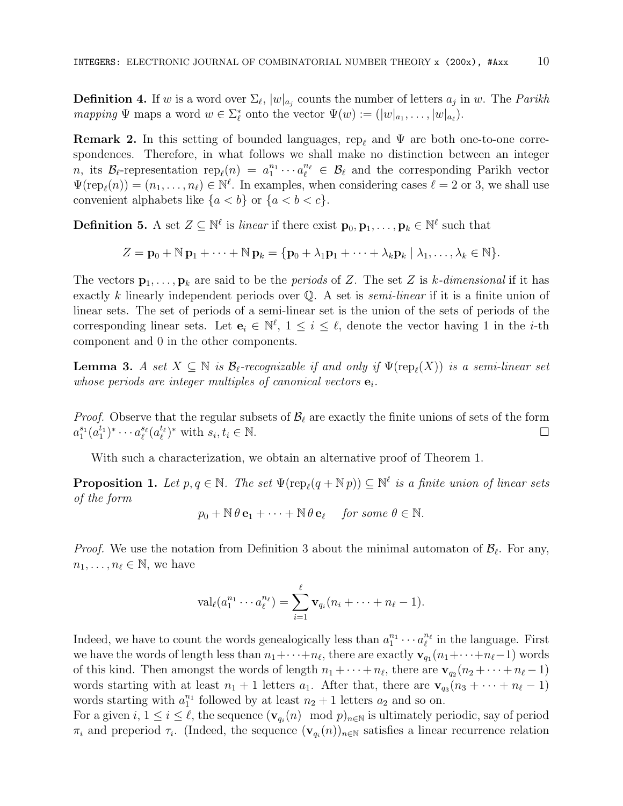**Definition 4.** If w is a word over  $\Sigma_{\ell}$ ,  $|w|_{a_j}$  counts the number of letters  $a_j$  in w. The *Parikh* mapping  $\Psi$  maps a word  $w \in \Sigma_{\ell}^*$  onto the vector  $\Psi(w) := (|w|_{a_1}, \ldots, |w|_{a_{\ell}}).$ 

**Remark 2.** In this setting of bounded languages, rep<sub> $\ell$ </sub> and  $\Psi$  are both one-to-one correspondences. Therefore, in what follows we shall make no distinction between an integer n, its  $\mathcal{B}_{\ell}$ -representation  $\text{rep}_{\ell}(n) = a_1^{n_1} \cdots a_{\ell}^{n_{\ell}} \in \mathcal{B}_{\ell}$  and the corresponding Parikh vector  $\Psi(\text{rep}_\ell(n)) = (n_1, \ldots, n_\ell) \in \mathbb{N}^\ell$ . In examples, when considering cases  $\ell = 2$  or 3, we shall use convenient alphabets like  $\{a < b\}$  or  $\{a < b < c\}.$ 

**Definition 5.** A set  $Z \subseteq \mathbb{N}^{\ell}$  is *linear* if there exist  $\mathbf{p}_0, \mathbf{p}_1, \ldots, \mathbf{p}_k \in \mathbb{N}^{\ell}$  such that

$$
Z = \mathbf{p}_0 + \mathbb{N} \, \mathbf{p}_1 + \cdots + \mathbb{N} \, \mathbf{p}_k = \{ \mathbf{p}_0 + \lambda_1 \mathbf{p}_1 + \cdots + \lambda_k \mathbf{p}_k \mid \lambda_1, \ldots, \lambda_k \in \mathbb{N} \}.
$$

The vectors  $\mathbf{p}_1, \ldots, \mathbf{p}_k$  are said to be the *periods* of Z. The set Z is k-dimensional if it has exactly k linearly independent periods over  $\mathbb Q$ . A set is *semi-linear* if it is a finite union of linear sets. The set of periods of a semi-linear set is the union of the sets of periods of the corresponding linear sets. Let  $e_i \in \mathbb{N}^{\ell}$ ,  $1 \leq i \leq \ell$ , denote the vector having 1 in the *i*-th component and 0 in the other components.

**Lemma 3.** A set  $X \subseteq \mathbb{N}$  is  $\mathcal{B}_{\ell}$ -recognizable if and only if  $\Psi(\text{rep}_{\ell}(X))$  is a semi-linear set whose periods are integer multiples of canonical vectors  $\mathbf{e}_i$ .

*Proof.* Observe that the regular subsets of  $\mathcal{B}_{\ell}$  are exactly the finite unions of sets of the form  $a_1^{s_1}(a_1^{t_1})^* \cdots a_\ell^{s_\ell}(a_\ell^{t_\ell})^*$  with  $s_i, t_i \in \mathbb{N}$ .

With such a characterization, we obtain an alternative proof of Theorem 1.

**Proposition 1.** Let  $p, q \in \mathbb{N}$ . The set  $\Psi(\text{rep}_{\ell}(q + \mathbb{N}p)) \subseteq \mathbb{N}^{\ell}$  is a finite union of linear sets of the form

$$
p_0 + \mathbb{N} \theta \mathbf{e}_1 + \cdots + \mathbb{N} \theta \mathbf{e}_\ell
$$
 for some  $\theta \in \mathbb{N}$ .

*Proof.* We use the notation from Definition 3 about the minimal automaton of  $\mathcal{B}_{\ell}$ . For any,  $n_1, \ldots, n_\ell \in \mathbb{N}$ , we have

$$
\operatorname{val}_{\ell}(a_1^{n_1}\cdots a_{\ell}^{n_{\ell}})=\sum_{i=1}^{\ell} \mathbf{v}_{q_i}(n_i+\cdots+n_{\ell}-1).
$$

Indeed, we have to count the words genealogically less than  $a_1^{n_1} \cdots a_\ell^{n_\ell}$  in the language. First we have the words of length less than  $n_1 + \cdots + n_\ell$ , there are exactly  $\mathbf{v}_{q_1}(n_1 + \cdots + n_\ell-1)$  words of this kind. Then amongst the words of length  $n_1 + \cdots + n_\ell$ , there are  $\mathbf{v}_{q_2}(n_2 + \cdots + n_\ell - 1)$ words starting with at least  $n_1 + 1$  letters  $a_1$ . After that, there are  $\mathbf{v}_{q_3}(n_3 + \cdots + n_\ell - 1)$ words starting with  $a_1^{n_1}$  followed by at least  $n_2 + 1$  letters  $a_2$  and so on.

For a given  $i, 1 \le i \le \ell$ , the sequence  $(\mathbf{v}_{q_i}(n) \mod p)_{n \in \mathbb{N}}$  is ultimately periodic, say of period  $\pi_i$  and preperiod  $\tau_i$ . (Indeed, the sequence  $(\mathbf{v}_{q_i}(n))_{n\in\mathbb{N}}$  satisfies a linear recurrence relation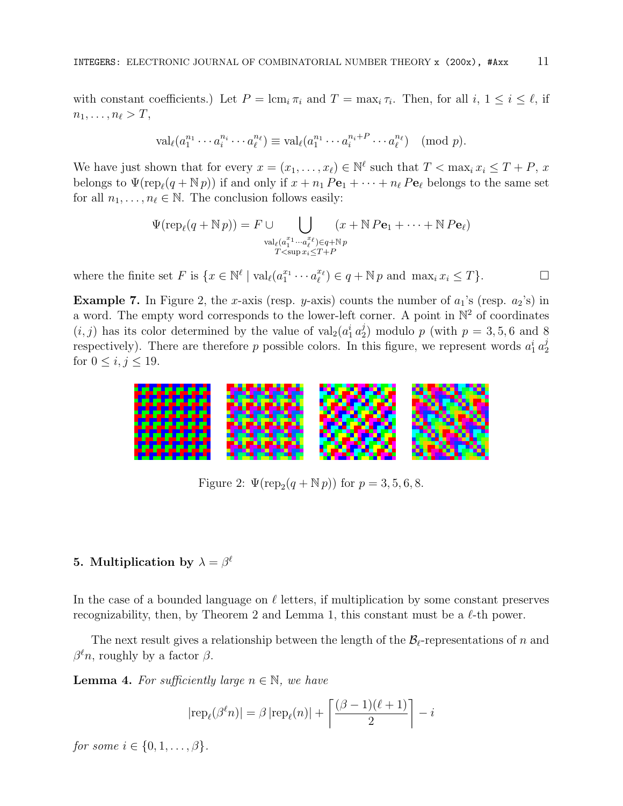with constant coefficients.) Let  $P = \text{\rm lcm}_i \pi_i$  and  $T = \text{\rm max}_i \tau_i$ . Then, for all  $i, 1 \le i \le \ell$ , if  $n_1, \ldots, n_\ell > T$ ,

$$
\operatorname{val}_{\ell}(a_1^{n_1}\cdots a_i^{n_i}\cdots a_{\ell}^{n_{\ell}})\equiv \operatorname{val}_{\ell}(a_1^{n_1}\cdots a_i^{n_i+P}\cdots a_{\ell}^{n_{\ell}}) \pmod{p}.
$$

We have just shown that for every  $x = (x_1, \ldots, x_\ell) \in \mathbb{N}^\ell$  such that  $T < \max_i x_i \leq T + P$ , x belongs to  $\Psi(\text{rep}_\ell(q + \mathbb{N}p))$  if and only if  $x + n_1 P_{e_1} + \cdots + n_\ell P_{e_\ell}$  belongs to the same set for all  $n_1, \ldots, n_\ell \in \mathbb{N}$ . The conclusion follows easily:

$$
\Psi(\operatorname{rep}_{\ell}(q + \mathbb{N} p)) = F \cup \bigcup_{\substack{\operatorname{val}_{\ell}(a_1^{x_1} \cdots a_{\ell}^{x_{\ell}}) \in q + \mathbb{N}p \\ T < \operatorname{sup} x_i \le T + P}} (x + \mathbb{N} P \mathbf{e}_1 + \cdots + \mathbb{N} P \mathbf{e}_{\ell})
$$

where the finite set F is  $\{x \in \mathbb{N}^{\ell} \mid \text{val}_{\ell}(a_1^{x_1} \cdots a_{\ell}^{x_{\ell}}) \in q + \mathbb{N} p \text{ and } \max_i x_i \leq T\}.$ 

**Example 7.** In Figure 2, the x-axis (resp. y-axis) counts the number of  $a_1$ 's (resp.  $a_2$ 's) in a word. The empty word corresponds to the lower-left corner. A point in  $\mathbb{N}^2$  of coordinates  $(i, j)$  has its color determined by the value of  $\text{val}_2(a_1^i a_2^j)$  $p_2^j$ ) modulo p (with  $p = 3, 5, 6$  and 8 respectively). There are therefore p possible colors. In this figure, we represent words  $a_1^i a_2^j$ 2 for  $0 \leq i, j \leq 19$ .



Figure 2:  $\Psi(\text{rep}_2(q + \mathbb{N} p))$  for  $p = 3, 5, 6, 8$ .

# 5. Multiplication by  $\lambda = \beta^{\ell}$

In the case of a bounded language on  $\ell$  letters, if multiplication by some constant preserves recognizability, then, by Theorem 2 and Lemma 1, this constant must be a  $\ell$ -th power.

The next result gives a relationship between the length of the  $\mathcal{B}_{\ell}$ -representations of n and  $\beta^{\ell} n$ , roughly by a factor  $\beta$ .

**Lemma 4.** For sufficiently large  $n \in \mathbb{N}$ , we have

$$
|\text{rep}_{\ell}(\beta^{\ell} n)| = \beta |\text{rep}_{\ell}(n)| + \left\lceil \frac{(\beta - 1)(\ell + 1)}{2} \right\rceil - i
$$

for some  $i \in \{0, 1, \ldots, \beta\}.$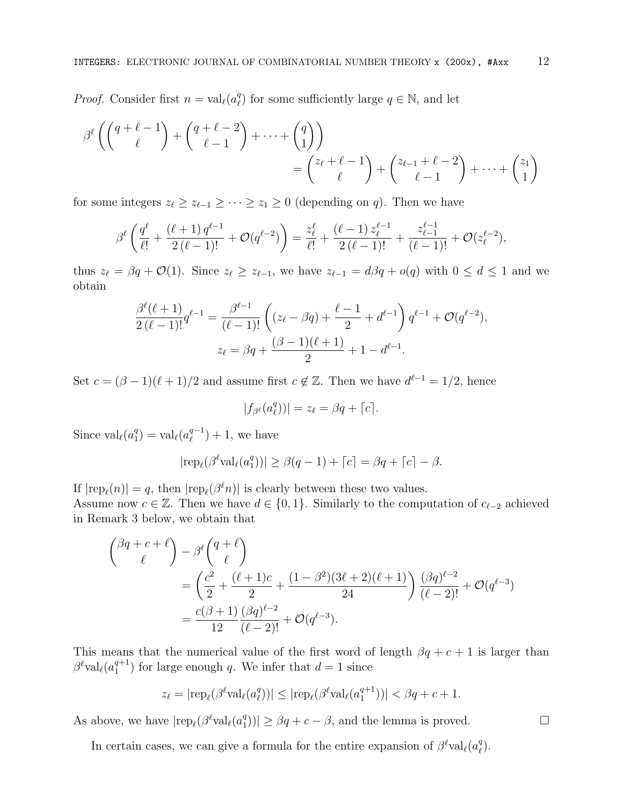*Proof.* Consider first  $n = val_{\ell}(a_{\ell}^q)$  $_{\ell}^{q}$ ) for some sufficiently large  $q \in \mathbb{N}$ , and let

$$
\beta^{\ell} \left( \binom{q+\ell-1}{\ell} + \binom{q+\ell-2}{\ell-1} + \dots + \binom{q}{1} \right) = \binom{z_{\ell}+\ell-1}{\ell} + \binom{z_{\ell-1}+\ell-2}{\ell-1} + \dots + \binom{z_1}{1}
$$

for some integers  $z_{\ell} \geq z_{\ell-1} \geq \cdots \geq z_1 \geq 0$  (depending on q). Then we have

$$
\beta^{\ell}\left(\frac{q^{\ell}}{\ell!}+\frac{(\ell+1)q^{\ell-1}}{2(\ell-1)!}+\mathcal{O}(q^{\ell-2})\right)=\frac{z_{\ell}^{\ell}}{\ell!}+\frac{(\ell-1)z_{\ell}^{\ell-1}}{2(\ell-1)!}+\frac{z_{\ell-1}^{\ell-1}}{(\ell-1)!}+\mathcal{O}(z_{\ell}^{\ell-2}),
$$

thus  $z_{\ell} = \beta q + \mathcal{O}(1)$ . Since  $z_{\ell} \geq z_{\ell-1}$ , we have  $z_{\ell-1} = d\beta q + o(q)$  with  $0 \leq d \leq 1$  and we obtain

$$
\frac{\beta^{\ell}(\ell+1)}{2(\ell-1)!}q^{\ell-1} = \frac{\beta^{\ell-1}}{(\ell-1)!} \left( (z_{\ell} - \beta q) + \frac{\ell-1}{2} + d^{\ell-1} \right) q^{\ell-1} + \mathcal{O}(q^{\ell-2}),
$$
  

$$
z_{\ell} = \beta q + \frac{(\beta - 1)(\ell + 1)}{2} + 1 - d^{\ell-1}.
$$

Set  $c = (\beta - 1)(\ell + 1)/2$  and assume first  $c \notin \mathbb{Z}$ . Then we have  $d^{\ell-1} = 1/2$ , hence

$$
|f_{\beta^{\ell}}(a_{\ell}^{q}))|=z_{\ell}=\beta q+\lceil c \rceil.
$$

Since  $\operatorname{val}_{\ell}(a_1^q)$  $_1^q$ ) = val<sub> $\ell$ </sub> $(a_\ell^{q-1})$  $\binom{q-1}{\ell} + 1$ , we have

$$
|\text{rep}_{\ell}(\beta^{\ell} \text{val}_{\ell}(a_1^q))| \geq \beta(q-1) + \lceil c \rceil = \beta q + \lceil c \rceil - \beta.
$$

If  $|rep_\ell(n)| = q$ , then  $|rep_\ell(\beta^\ell n)|$  is clearly between these two values. Assume now  $c \in \mathbb{Z}$ . Then we have  $d \in \{0, 1\}$ . Similarly to the computation of  $c_{\ell-2}$  achieved in Remark 3 below, we obtain that

$$
\begin{aligned}\n\binom{\beta q + c + \ell}{\ell} &- \beta^{\ell} \binom{q + \ell}{\ell} \\
&= \left(\frac{c^2}{2} + \frac{(\ell + 1)c}{2} + \frac{(1 - \beta^2)(3\ell + 2)(\ell + 1)}{24}\right) \frac{(\beta q)^{\ell - 2}}{(\ell - 2)!} + \mathcal{O}(q^{\ell - 3}) \\
&= \frac{c(\beta + 1)}{12} \frac{(\beta q)^{\ell - 2}}{(\ell - 2)!} + \mathcal{O}(q^{\ell - 3}).\n\end{aligned}
$$

This means that the numerical value of the first word of length  $\beta q + c + 1$  is larger than  $\beta^{\ell}$ val $_{\ell}(a_1^{q+1})$  $\binom{q+1}{1}$  for large enough q. We infer that  $d=1$  since

$$
z_{\ell} = |\text{rep}_{\ell}(\beta^{\ell} \text{val}_{\ell}(a^q_{\ell}))| \leq |\text{rep}_{\ell}(\beta^{\ell} \text{val}_{\ell}(a^{q+1}_{1}))| < \beta q + c + 1.
$$

As above, we have  $\text{rep}_{\ell}(\beta^{\ell} \text{val}_{\ell}(a_1^q))$  $|_{1}^{q}$ ))|  $\geq \beta q + c - \beta$ , and the lemma is proved.

In certain cases, we can give a formula for the entire expansion of  $\beta^{\ell}$ val $_{\ell}(a_{\ell}^{q})$  $_{\ell}^{q}).$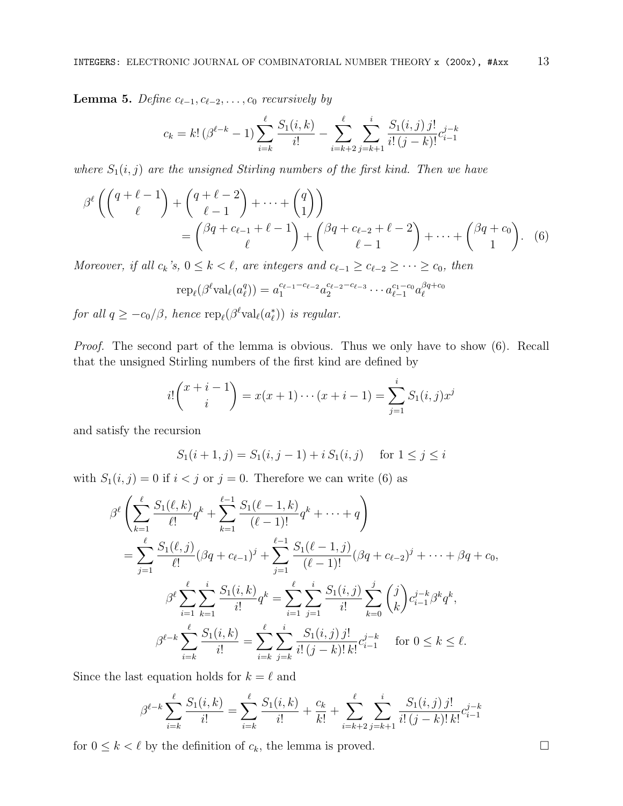**Lemma 5.** Define  $c_{\ell-1}, c_{\ell-2}, \ldots, c_0$  recursively by

$$
c_k = k! \left(\beta^{\ell-k} - 1\right) \sum_{i=k}^{\ell} \frac{S_1(i,k)}{i!} - \sum_{i=k+2}^{\ell} \sum_{j=k+1}^{i} \frac{S_1(i,j) j!}{i! (j-k)!} c_{i-1}^{j-k}
$$

where  $S_1(i, j)$  are the unsigned Stirling numbers of the first kind. Then we have

$$
\beta^{\ell}\left(\binom{q+\ell-1}{\ell}+\binom{q+\ell-2}{\ell-1}+\cdots+\binom{q}{1}\right) = \binom{\beta q+c_{\ell-1}+\ell-1}{\ell}+\binom{\beta q+c_{\ell-2}+\ell-2}{\ell-1}+\cdots+\binom{\beta q+c_0}{1}.\tag{6}
$$

Moreover, if all  $c_k$ 's,  $0 \le k < \ell$ , are integers and  $c_{\ell-1} \ge c_{\ell-2} \ge \cdots \ge c_0$ , then

$$
rep_{\ell}(\beta^{\ell}val_{\ell}(a_{\ell}^{q})) = a_1^{c_{\ell-1}-c_{\ell-2}}a_2^{c_{\ell-2}-c_{\ell-3}}\cdots a_{\ell-1}^{c_1-c_0}a_{\ell}^{\beta q+c_0}
$$

for all  $q \ge -c_0/\beta$ , hence  $\text{rep}_{\ell}(\beta^{\ell} \text{val}_{\ell}(a_{\ell}^{*}))$  is regular.

Proof. The second part of the lemma is obvious. Thus we only have to show (6). Recall that the unsigned Stirling numbers of the first kind are defined by

$$
i!\binom{x+i-1}{i} = x(x+1)\cdots(x+i-1) = \sum_{j=1}^{i} S_1(i,j)x^j
$$

and satisfy the recursion

$$
S_1(i + 1, j) = S_1(i, j - 1) + i S_1(i, j) \quad \text{for } 1 \le j \le i
$$

with  $S_1(i, j) = 0$  if  $i < j$  or  $j = 0$ . Therefore we can write (6) as

$$
\beta^{\ell} \left( \sum_{k=1}^{\ell} \frac{S_1(\ell, k)}{\ell!} q^k + \sum_{k=1}^{\ell-1} \frac{S_1(\ell-1, k)}{(\ell-1)!} q^k + \dots + q \right)
$$
  
= 
$$
\sum_{j=1}^{\ell} \frac{S_1(\ell, j)}{\ell!} (\beta q + c_{\ell-1})^j + \sum_{j=1}^{\ell-1} \frac{S_1(\ell-1, j)}{(\ell-1)!} (\beta q + c_{\ell-2})^j + \dots + \beta q + c_0,
$$
  

$$
\beta^{\ell} \sum_{i=1}^{\ell} \sum_{k=1}^{i} \frac{S_1(i, k)}{i!} q^k = \sum_{i=1}^{\ell} \sum_{j=1}^{i} \frac{S_1(i, j)}{i!} \sum_{k=0}^{j} {j \choose k} c_{i-1}^{j-k} \beta^k q^k,
$$
  

$$
\beta^{\ell-k} \sum_{i=k}^{\ell} \frac{S_1(i, k)}{i!} = \sum_{i=k}^{\ell} \sum_{j=k}^{i} \frac{S_1(i, j) j!}{i! (j-k)! k!} c_{i-1}^{j-k} \quad \text{for } 0 \le k \le \ell.
$$

Since the last equation holds for  $k = \ell$  and

$$
\beta^{\ell-k} \sum_{i=k}^{\ell} \frac{S_1(i,k)}{i!} = \sum_{i=k}^{\ell} \frac{S_1(i,k)}{i!} + \frac{c_k}{k!} + \sum_{i=k+2}^{\ell} \sum_{j=k+1}^{i} \frac{S_1(i,j) j!}{i! (j-k)! k!} c_{i-1}^{j-k}
$$

for  $0 \leq k < \ell$  by the definition of  $c_k$ , the lemma is proved.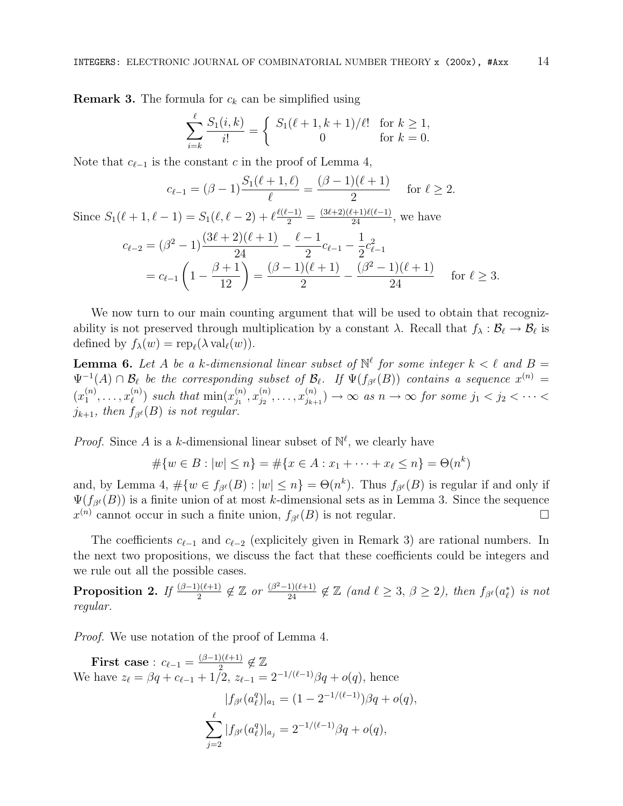**Remark 3.** The formula for  $c_k$  can be simplified using

$$
\sum_{i=k}^{\ell} \frac{S_1(i,k)}{i!} = \begin{cases} S_1(\ell+1,k+1)/\ell! & \text{for } k \ge 1, \\ 0 & \text{for } k = 0. \end{cases}
$$

Note that  $c_{\ell-1}$  is the constant c in the proof of Lemma 4,

$$
c_{\ell-1} = (\beta - 1) \frac{S_1(\ell + 1, \ell)}{\ell} = \frac{(\beta - 1)(\ell + 1)}{2} \quad \text{for } \ell \ge 2.
$$

Since  $S_1(\ell + 1, \ell - 1) = S_1(\ell, \ell - 2) + \ell \frac{\ell(\ell-1)}{2} = \frac{(3\ell+2)(\ell+1)\ell(\ell-1)}{24}$ , we have

$$
c_{\ell-2} = (\beta^2 - 1) \frac{(3\ell+2)(\ell+1)}{24} - \frac{\ell-1}{2} c_{\ell-1} - \frac{1}{2} c_{\ell-1}^2
$$
  
=  $c_{\ell-1} \left( 1 - \frac{\beta+1}{12} \right) = \frac{(\beta-1)(\ell+1)}{2} - \frac{(\beta^2-1)(\ell+1)}{24}$  for  $\ell \ge 3$ .

We now turn to our main counting argument that will be used to obtain that recognizability is not preserved through multiplication by a constant  $\lambda$ . Recall that  $f_\lambda : \mathcal{B}_\ell \to \mathcal{B}_\ell$  is defined by  $f_{\lambda}(w) = \text{rep}_{\ell}(\lambda \text{ val}_{\ell}(w)).$ 

**Lemma 6.** Let A be a k-dimensional linear subset of  $\mathbb{N}^{\ell}$  for some integer  $k < \ell$  and  $B =$  $\Psi^{-1}(A) \cap \mathcal{B}_\ell$  be the corresponding subset of  $\mathcal{B}_\ell$ . If  $\Psi(f_{\beta^\ell}(B))$  contains a sequence  $x^{(n)} =$  $(x_1^{(n)}$  $x_1^{(n)}, \ldots, x_\ell^{(n)}$  $\binom{n}{\ell}$  such that  $\min(x_{j_1}^{(n)})$  $\binom{n}{j_1}, x_{j_2}^{(n)}$  $\binom{n}{j_2},\ldots,\binom{n}{j_{k+1}}$  $j_{j_{k+1}}^{(n)}$   $\rightarrow \infty$  as  $n \rightarrow \infty$  for some  $j_1 < j_2 < \cdots < j_n$  $j_{k+1}$ , then  $f_{\beta^{\ell}}(B)$  is not regular.

*Proof.* Since A is a k-dimensional linear subset of  $\mathbb{N}^{\ell}$ , we clearly have

$$
#{w \in B : |w| \le n} = #{x \in A : x_1 + \dots + x_\ell \le n} = \Theta(n^k)
$$

and, by Lemma 4,  $\#\{w \in f_{\beta^{\ell}}(B) : |w| \leq n\} = \Theta(n^k)$ . Thus  $f_{\beta^{\ell}}(B)$  is regular if and only if  $\Psi(f_{\beta^{\ell}}(B))$  is a finite union of at most k-dimensional sets as in Lemma 3. Since the sequence  $x^{(n)}$  cannot occur in such a finite union,  $f_{\beta^{\ell}}(B)$  is not regular.

The coefficients  $c_{\ell-1}$  and  $c_{\ell-2}$  (explicitely given in Remark 3) are rational numbers. In the next two propositions, we discuss the fact that these coefficients could be integers and we rule out all the possible cases.

**Proposition 2.** If  $\frac{(\beta-1)(\ell+1)}{2} \notin \mathbb{Z}$  or  $\frac{(\beta^2-1)(\ell+1)}{24} \notin \mathbb{Z}$  (and  $\ell \geq 3$ ,  $\beta \geq 2$ ), then  $f_{\beta}e(a_{\ell}^*)$  is not regular.

Proof. We use notation of the proof of Lemma 4.

**First case**: 
$$
c_{\ell-1} = \frac{(\beta-1)(\ell+1)}{2} \notin \mathbb{Z}
$$
  
We have  $z_{\ell} = \beta q + c_{\ell-1} + 1/2$ ,  $z_{\ell-1} = 2^{-1/(\ell-1)}\beta q + o(q)$ , hence  

$$
|f_{\beta^{\ell}}(a_{\ell}^{q})|_{a_1} = (1 - 2^{-1/(\ell-1)})\beta q + o(q),
$$

$$
\sum_{j=2}^{\ell} |f_{\beta^{\ell}}(a_{\ell}^{q})|_{a_j} = 2^{-1/(\ell-1)}\beta q + o(q),
$$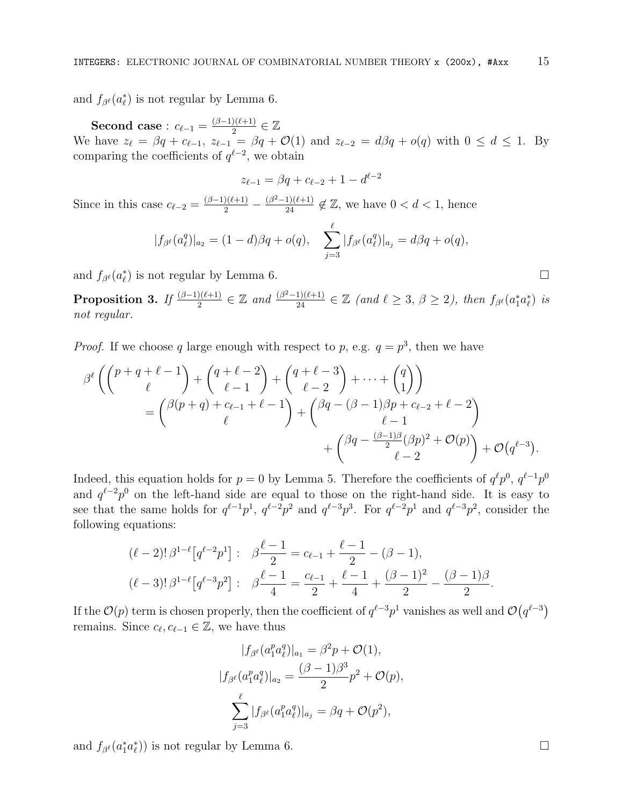and  $f_{\beta^{\ell}}(a_{\ell}^*)$  is not regular by Lemma 6.

Second case :  $c_{\ell-1} = \frac{(\beta-1)(\ell+1)}{2}$  $\frac{(\ell+1)}{2} \in \mathbb{Z}$ We have  $z_{\ell} = \beta q + c_{\ell-1}, z_{\ell-1} = \beta q + \mathcal{O}(1)$  and  $z_{\ell-2} = d\beta q + o(q)$  with  $0 \leq d \leq 1$ . By comparing the coefficients of  $q^{\ell-2}$ , we obtain

$$
z_{\ell-1} = \beta q + c_{\ell-2} + 1 - d^{\ell-2}
$$

Since in this case  $c_{\ell-2} = \frac{(\beta-1)(\ell+1)}{2} - \frac{(\beta^2-1)(\ell+1)}{24} \notin \mathbb{Z}$ , we have  $0 < d < 1$ , hence

$$
|f_{\beta^{\ell}}(a_{\ell}^{q})|_{a_2} = (1-d)\beta q + o(q), \quad \sum_{j=3}^{\ell} |f_{\beta^{\ell}}(a_{\ell}^{q})|_{a_j} = d\beta q + o(q),
$$

and  $f_{\beta^{\ell}}(a_{\ell}^*)$  is not regular by Lemma 6.

**Proposition 3.** If  $\frac{(\beta-1)(\ell+1)}{2} \in \mathbb{Z}$  and  $\frac{(\beta^2-1)(\ell+1)}{24} \in \mathbb{Z}$  (and  $\ell \geq 3$ ,  $\beta \geq 2$ ), then  $f_{\beta}(\alpha_1^*\alpha_\ell^*)$  is not regular.

*Proof.* If we choose q large enough with respect to p, e.g.  $q = p^3$ , then we have

$$
\beta^{\ell}\left(\binom{p+q+\ell-1}{\ell}+\binom{q+\ell-2}{\ell-1}+\binom{q+\ell-3}{\ell-2}+\cdots+\binom{q}{1}\right) = \binom{\beta(p+q)+c_{\ell-1}+\ell-1}{\ell}+\binom{\beta q-(\beta-1)\beta p+c_{\ell-2}+\ell-2}{\ell-1}+\binom{\beta q-\frac{(\beta-1)\beta}{2}(\beta p)^2+\mathcal{O}(p)}{\ell-2}+\mathcal{O}(q^{\ell-3}).
$$

Indeed, this equation holds for  $p = 0$  by Lemma 5. Therefore the coefficients of  $q^{\ell}p^{0}$ ,  $q^{\ell-1}p^{0}$ and  $q^{\ell-2}p^0$  on the left-hand side are equal to those on the right-hand side. It is easy to see that the same holds for  $q^{\ell-1}p^1$ ,  $q^{\ell-2}p^2$  and  $q^{\ell-3}p^3$ . For  $q^{\ell-2}p^1$  and  $q^{\ell-3}p^2$ , consider the following equations:

$$
(\ell - 2)!\,\beta^{1-\ell}\left[q^{\ell-2}p^1\right]: \quad \beta\frac{\ell-1}{2} = c_{\ell-1} + \frac{\ell-1}{2} - (\beta - 1),
$$

$$
(\ell - 3)!\,\beta^{1-\ell}\left[q^{\ell-3}p^2\right]: \quad \beta\frac{\ell-1}{4} = \frac{c_{\ell-1}}{2} + \frac{\ell-1}{4} + \frac{(\beta - 1)^2}{2} - \frac{(\beta - 1)\beta}{2}.
$$

If the  $\mathcal{O}(p)$  term is chosen properly, then the coefficient of  $q^{\ell-3}p^1$  vanishes as well and  $\mathcal{O}(q^{\ell-3})$ remains. Since  $c_{\ell}, c_{\ell-1} \in \mathbb{Z}$ , we have thus

$$
|f_{\beta^{\ell}}(a_1^p a_{\ell}^q)|_{a_1} = \beta^2 p + \mathcal{O}(1),
$$
  
\n
$$
|f_{\beta^{\ell}}(a_1^p a_{\ell}^q)|_{a_2} = \frac{(\beta - 1)\beta^3}{2}p^2 + \mathcal{O}(p),
$$
  
\n
$$
\sum_{j=3}^{\ell} |f_{\beta^{\ell}}(a_1^p a_{\ell}^q)|_{a_j} = \beta q + \mathcal{O}(p^2),
$$

and  $f_{\beta^{\ell}}(a_1^* a_{\ell}^*)$  is not regular by Lemma 6.

$$
\Box
$$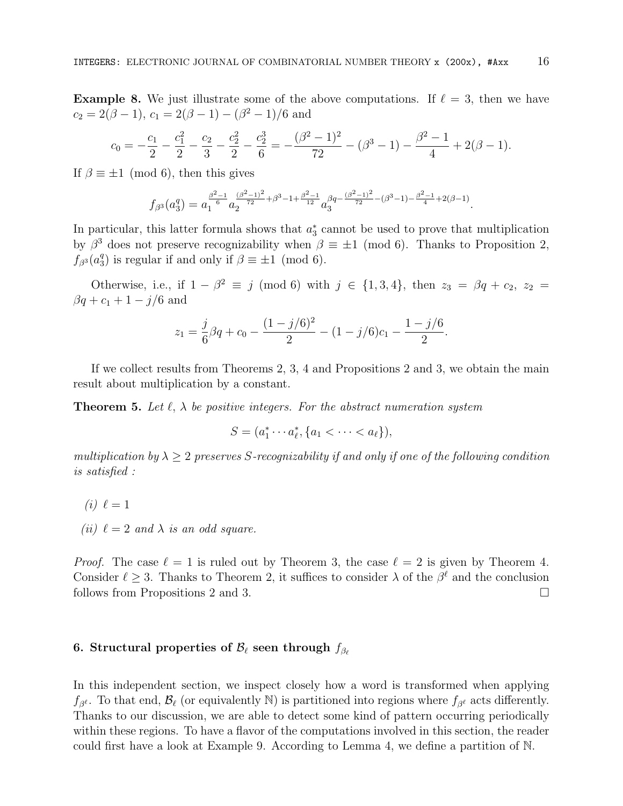**Example 8.** We just illustrate some of the above computations. If  $\ell = 3$ , then we have  $c_2 = 2(\beta - 1), c_1 = 2(\beta - 1) - (\beta^2 - 1)/6$  and

$$
c_0 = -\frac{c_1}{2} - \frac{c_1^2}{2} - \frac{c_2}{3} - \frac{c_2^2}{2} - \frac{c_2^3}{6} = -\frac{(\beta^2 - 1)^2}{72} - (\beta^3 - 1) - \frac{\beta^2 - 1}{4} + 2(\beta - 1).
$$

If  $\beta \equiv \pm 1 \pmod{6}$ , then this gives

$$
f_{\beta^3}(a_3^q) = a_1^{\frac{\beta^2-1}{6}} a_2^{\frac{(\beta^2-1)^2}{72} + \beta^3 - 1 + \frac{\beta^2-1}{12}} a_3^{\beta q - \frac{(\beta^2-1)^2}{72} - (\beta^3-1) - \frac{\beta^2-1}{4} + 2(\beta-1)}.
$$

In particular, this latter formula shows that  $a_3^*$  cannot be used to prove that multiplication by  $\beta^3$  does not preserve recognizability when  $\beta \equiv \pm 1 \pmod{6}$ . Thanks to Proposition 2,  $f_{\beta^3}(a_3^q)$  $_3^q$ ) is regular if and only if  $\beta \equiv \pm 1 \pmod{6}$ .

Otherwise, i.e., if  $1 - \beta^2 \equiv j \pmod{6}$  with  $j \in \{1, 3, 4\}$ , then  $z_3 = \beta q + c_2$ ,  $z_2 =$  $\beta q + c_1 + 1 - j/6$  and

$$
z_1 = \frac{j}{6}\beta q + c_0 - \frac{(1 - j/6)^2}{2} - (1 - j/6)c_1 - \frac{1 - j/6}{2}.
$$

If we collect results from Theorems 2, 3, 4 and Propositions 2 and 3, we obtain the main result about multiplication by a constant.

**Theorem 5.** Let  $\ell$ ,  $\lambda$  be positive integers. For the abstract numeration system

$$
S = (a_1^* \cdots a_\ell^*, \{a_1 < \cdots < a_\ell\}),
$$

multiplication by  $\lambda \geq 2$  preserves S-recognizability if and only if one of the following condition is satisfied :

- $(i) \ell = 1$
- (ii)  $\ell = 2$  and  $\lambda$  is an odd square.

*Proof.* The case  $\ell = 1$  is ruled out by Theorem 3, the case  $\ell = 2$  is given by Theorem 4. Consider  $\ell \geq 3$ . Thanks to Theorem 2, it suffices to consider  $\lambda$  of the  $\beta^{\ell}$  and the conclusion follows from Propositions 2 and 3.

## 6. Structural properties of  $\mathcal{B}_{\ell}$  seen through  $f_{\beta_{\ell}}$

In this independent section, we inspect closely how a word is transformed when applying  $f_{\beta^{\ell}}$ . To that end,  $\mathcal{B}_{\ell}$  (or equivalently N) is partitioned into regions where  $f_{\beta^{\ell}}$  acts differently. Thanks to our discussion, we are able to detect some kind of pattern occurring periodically within these regions. To have a flavor of the computations involved in this section, the reader could first have a look at Example 9. According to Lemma 4, we define a partition of N.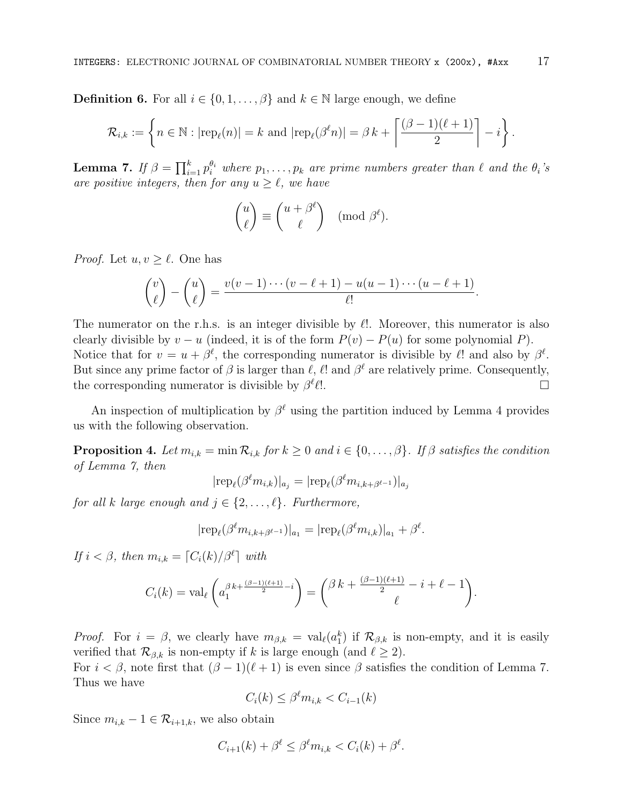**Definition 6.** For all  $i \in \{0, 1, \ldots, \beta\}$  and  $k \in \mathbb{N}$  large enough, we define

$$
\mathcal{R}_{i,k} := \left\{ n \in \mathbb{N} : |\text{rep}_{\ell}(n)| = k \text{ and } |\text{rep}_{\ell}(\beta^{\ell} n)| = \beta k + \left\lceil \frac{(\beta - 1)(\ell + 1)}{2} \right\rceil - i \right\}.
$$

**Lemma 7.** If  $\beta = \prod_{i=1}^k p_i^{\theta_i}$  where  $p_1, \ldots, p_k$  are prime numbers greater than  $\ell$  and the  $\theta_i$ 's are positive integers, then for any  $u \geq \ell$ , we have

$$
\begin{pmatrix} u \\ \ell \end{pmatrix} \equiv \begin{pmatrix} u + \beta^{\ell} \\ \ell \end{pmatrix} \pmod{\beta^{\ell}}.
$$

*Proof.* Let  $u, v \geq \ell$ . One has

$$
\binom{v}{\ell}-\binom{u}{\ell}=\frac{v(v-1)\cdots(v-\ell+1)-u(u-1)\cdots(u-\ell+1)}{\ell!}.
$$

The numerator on the r.h.s. is an integer divisible by  $\ell$ !. Moreover, this numerator is also clearly divisible by  $v - u$  (indeed, it is of the form  $P(v) - P(u)$  for some polynomial P). Notice that for  $v = u + \beta^{\ell}$ , the corresponding numerator is divisible by  $\ell$ ! and also by  $\beta^{\ell}$ . But since any prime factor of  $\beta$  is larger than  $\ell$ ,  $\ell$ ! and  $\beta^{\ell}$  are relatively prime. Consequently, the corresponding numerator is divisible by  $\beta^{\ell}$  $\ell$ !.

An inspection of multiplication by  $\beta^{\ell}$  using the partition induced by Lemma 4 provides us with the following observation.

**Proposition 4.** Let  $m_{i,k} = \min \mathcal{R}_{i,k}$  for  $k \geq 0$  and  $i \in \{0, \ldots, \beta\}$ . If  $\beta$  satisfies the condition of Lemma 7, then

$$
|\text{rep}_{\ell}(\beta^{\ell}m_{i,k})|_{a_j} = |\text{rep}_{\ell}(\beta^{\ell}m_{i,k+\beta^{\ell-1}})|_{a_j}
$$

for all k large enough and  $j \in \{2, \ldots, \ell\}$ . Furthermore,

$$
|\text{rep}_{\ell}(\beta^{\ell}m_{i,k+\beta^{\ell-1}})|_{a_1}=|\text{rep}_{\ell}(\beta^{\ell}m_{i,k})|_{a_1}+\beta^{\ell}.
$$

If  $i < \beta$ , then  $m_{i,k} = \lceil C_i(k)/\beta^{\ell} \rceil$  with

$$
C_i(k) = \text{val}_{\ell} \left( a_1^{\beta k + \frac{(\beta - 1)(\ell + 1)}{2} - i} \right) = {\beta k + \frac{(\beta - 1)(\ell + 1)}{2} - i + \ell - 1 \choose \ell}.
$$

*Proof.* For  $i = \beta$ , we clearly have  $m_{\beta,k} = val_{\ell}(a_1^k)$  if  $\mathcal{R}_{\beta,k}$  is non-empty, and it is easily verified that  $\mathcal{R}_{\beta,k}$  is non-empty if k is large enough (and  $\ell \geq 2$ ).

For  $i < \beta$ , note first that  $(\beta - 1)(\ell + 1)$  is even since  $\beta$  satisfies the condition of Lemma 7. Thus we have

$$
C_i(k) \le \beta^{\ell} m_{i,k} < C_{i-1}(k)
$$

Since  $m_{i,k} - 1 \in \mathcal{R}_{i+1,k}$ , we also obtain

$$
C_{i+1}(k) + \beta^{\ell} \le \beta^{\ell} m_{i,k} < C_i(k) + \beta^{\ell}.
$$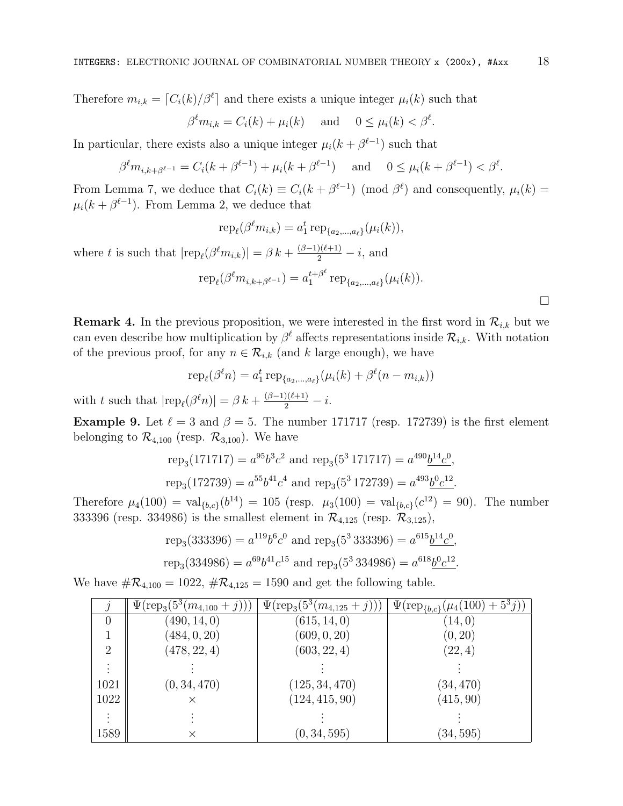Therefore  $m_{i,k} = \lceil C_i(k)/\beta^{\ell} \rceil$  and there exists a unique integer  $\mu_i(k)$  such that

$$
\beta^{\ell}m_{i,k} = C_i(k) + \mu_i(k) \quad \text{and} \quad 0 \le \mu_i(k) < \beta^{\ell}.
$$

In particular, there exists also a unique integer  $\mu_i(k + \beta^{\ell-1})$  such that

$$
\beta^{\ell}m_{i,k+\beta^{\ell-1}} = C_i(k+\beta^{\ell-1}) + \mu_i(k+\beta^{\ell-1}) \quad \text{and} \quad 0 \le \mu_i(k+\beta^{\ell-1}) < \beta^{\ell}.
$$

From Lemma 7, we deduce that  $C_i(k) \equiv C_i(k + \beta^{\ell-1}) \pmod{\beta^{\ell}}$  and consequently,  $\mu_i(k) =$  $\mu_i(k + \beta^{\ell-1})$ . From Lemma 2, we deduce that

$$
rep_{\ell}(\beta^{\ell}m_{i,k}) = a_1^t \operatorname{rep}_{\{a_2,\dots,a_{\ell}\}}(\mu_i(k)),
$$

where t is such that  $|\text{rep}_{\ell}(\beta^{\ell}m_{i,k})| = \beta k + \frac{(\beta-1)(\ell+1)}{2} - i$ , and

$$
\text{rep}_{\ell}(\beta^{\ell}m_{i,k+\beta^{\ell-1}}) = a_1^{t+\beta^{\ell}} \text{rep}_{\{a_2,\dots,a_{\ell}\}}(\mu_i(k)).
$$

**Remark 4.** In the previous proposition, we were interested in the first word in  $\mathcal{R}_{i,k}$  but we can even describe how multiplication by  $\beta^{\ell}$  affects representations inside  $\mathcal{R}_{i,k}$ . With notation of the previous proof, for any  $n \in \mathcal{R}_{i,k}$  (and k large enough), we have

$$
rep_{\ell}(\beta^{\ell} n) = a_1^{t} rep_{\{a_2,...,a_{\ell}\}}(\mu_i(k) + \beta^{\ell}(n - m_{i,k}))
$$

with t such that  $|\text{rep}_{\ell}(\beta^{\ell} n)| = \beta k + \frac{(\beta-1)(\ell+1)}{2} - i.$ 

**Example 9.** Let  $\ell = 3$  and  $\beta = 5$ . The number 171717 (resp. 172739) is the first element belonging to  $\mathcal{R}_{4,100}$  (resp.  $\mathcal{R}_{3,100}$ ). We have

$$
rep_3(171717) = a^{95}b^3c^2
$$
 and  $rep_3(5^3 171717) = a^{490}b^{14}c^0$ ,  
\n $rep_3(172739) = a^{55}b^{41}c^4$  and  $rep_3(5^3 172739) = a^{493}b^0c^{12}$ .

Therefore  $\mu_4(100) = \text{val}_{\{b,c\}}(b^{14}) = 105$  (resp.  $\mu_3(100) = \text{val}_{\{b,c\}}(c^{12}) = 90$ ). The number 333396 (resp. 334986) is the smallest element in  $\mathcal{R}_{4,125}$  (resp.  $\mathcal{R}_{3,125}$ ),

rep<sub>3</sub>(333396) = 
$$
a^{119}b^6c^0
$$
 and rep<sub>3</sub>(5<sup>3</sup> 333396) =  $a^{615}\underline{b^{14}c^0}$ ,  
rep<sub>3</sub>(334986) =  $a^{69}b^{41}c^{15}$  and rep<sub>3</sub>(5<sup>3</sup> 334986) =  $a^{618}\underline{b^0c^{12}}$ .

We have  $\#\mathcal{R}_{4,100} = 1022$ ,  $\#\mathcal{R}_{4,125} = 1590$  and get the following table.

|                | $\Psi(\text{rep}_3(5^3(m_{4,100}+j)))$ | $\Psi(\text{rep}_3(5^3(m_{4,125}+j)))$ | $\Psi(\text{rep}_{\{b,c\}}(\mu_4(100) + 5^3j))$ |
|----------------|----------------------------------------|----------------------------------------|-------------------------------------------------|
| $\theta$       | (490, 14, 0)                           | (615, 14, 0)                           | (14, 0)                                         |
|                | (484, 0, 20)                           | (609, 0, 20)                           | (0, 20)                                         |
| $\overline{2}$ | (478, 22, 4)                           | (603, 22, 4)                           | (22, 4)                                         |
| $\vdots$       |                                        |                                        |                                                 |
| 1021           | (0, 34, 470)                           | (125, 34, 470)                         | (34, 470)                                       |
| 1022           | $\times$                               | (124, 415, 90)                         | (415, 90)                                       |
| $\vdots$       |                                        |                                        |                                                 |
| 1589           | ×                                      | (0, 34, 595)                           | (34,595)                                        |

 $\Box$